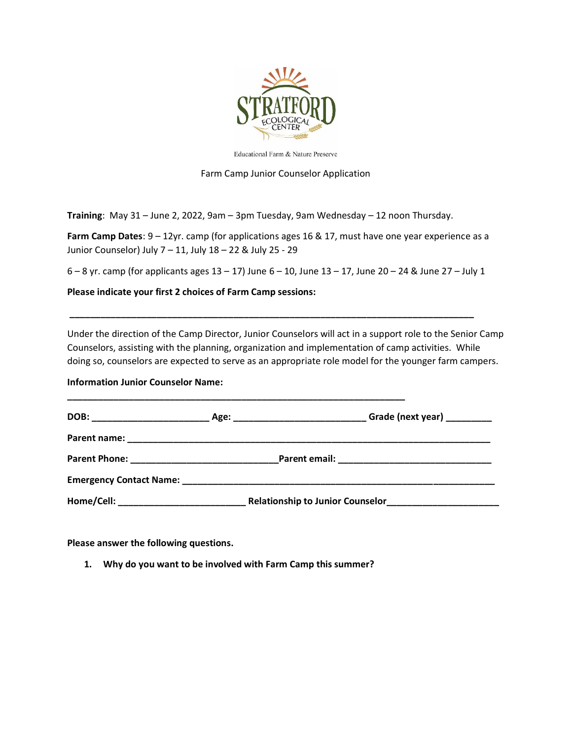

Educational Farm & Nature Preserve

Farm Camp Junior Counselor Application

**Training**: May 31 – June 2, 2022, 9am – 3pm Tuesday, 9am Wednesday – 12 noon Thursday.

**Farm Camp Dates**: 9 – 12yr. camp (for applications ages 16 & 17, must have one year experience as a Junior Counselor) July 7 – 11, July 18 – 22 & July 25 - 29

6 – 8 yr. camp (for applicants ages  $13 - 17$ ) June  $6 - 10$ , June  $13 - 17$ , June  $20 - 24$  & June  $27 -$  July 1

**\_\_\_\_\_\_\_\_\_\_\_\_\_\_\_\_\_\_\_\_\_\_\_\_\_\_\_\_\_\_\_\_\_\_\_\_\_\_\_\_\_\_\_\_\_\_\_\_\_\_\_\_\_\_\_\_\_\_\_\_\_\_\_\_\_\_\_\_\_\_\_\_\_\_\_\_\_\_\_**

**Please indicate your first 2 choices of Farm Camp sessions:**

Under the direction of the Camp Director, Junior Counselors will act in a support role to the Senior Camp Counselors, assisting with the planning, organization and implementation of camp activities. While doing so, counselors are expected to serve as an appropriate role model for the younger farm campers.

**Information Junior Counselor Name:** 

|                                                                                                                                                                                                                                        | Grade (next year) _________ |
|----------------------------------------------------------------------------------------------------------------------------------------------------------------------------------------------------------------------------------------|-----------------------------|
|                                                                                                                                                                                                                                        |                             |
|                                                                                                                                                                                                                                        |                             |
|                                                                                                                                                                                                                                        |                             |
| Relationship to Junior Counselor<br><u>Letter Leavens and School and School and School and School and School and School and School and School and School and School and School and School and School and School and School and Sch</u> |                             |

**Please answer the following questions.**

**1. Why do you want to be involved with Farm Camp this summer?**

**\_\_\_\_\_\_\_\_\_\_\_\_\_\_\_\_\_\_\_\_\_\_\_\_\_\_\_\_\_\_\_\_\_\_\_\_\_\_\_\_\_\_\_\_\_\_\_\_\_\_\_\_\_\_\_\_\_\_\_\_\_\_\_\_\_\_**